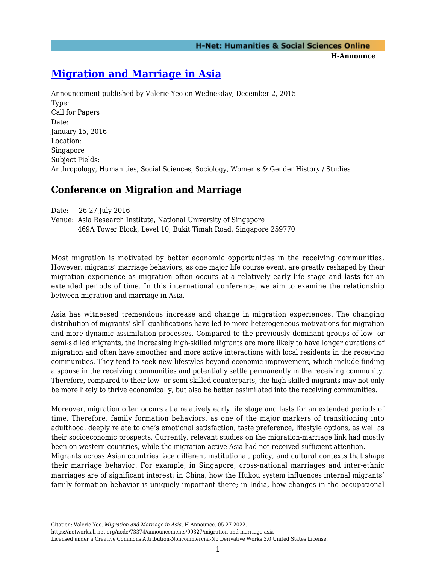**H-Announce** 

# **[Migration and Marriage in Asia](https://networks.h-net.org/node/73374/announcements/99327/migration-and-marriage-asia)**

Announcement published by Valerie Yeo on Wednesday, December 2, 2015 Type: Call for Papers Date: January 15, 2016 Location: Singapore Subject Fields: Anthropology, Humanities, Social Sciences, Sociology, Women's & Gender History / Studies

# **Conference on Migration and Marriage**

Date: 26-27 July 2016

Venue: Asia Research Institute, National University of Singapore 469A Tower Block, Level 10, Bukit Timah Road, Singapore 259770

Most migration is motivated by better economic opportunities in the receiving communities. However, migrants' marriage behaviors, as one major life course event, are greatly reshaped by their migration experience as migration often occurs at a relatively early life stage and lasts for an extended periods of time. In this international conference, we aim to examine the relationship between migration and marriage in Asia.

Asia has witnessed tremendous increase and change in migration experiences. The changing distribution of migrants' skill qualifications have led to more heterogeneous motivations for migration and more dynamic assimilation processes. Compared to the previously dominant groups of low- or semi-skilled migrants, the increasing high-skilled migrants are more likely to have longer durations of migration and often have smoother and more active interactions with local residents in the receiving communities. They tend to seek new lifestyles beyond economic improvement, which include finding a spouse in the receiving communities and potentially settle permanently in the receiving community. Therefore, compared to their low- or semi-skilled counterparts, the high-skilled migrants may not only be more likely to thrive economically, but also be better assimilated into the receiving communities.

Moreover, migration often occurs at a relatively early life stage and lasts for an extended periods of time. Therefore, family formation behaviors, as one of the major markers of transitioning into adulthood, deeply relate to one's emotional satisfaction, taste preference, lifestyle options, as well as their socioeconomic prospects. Currently, relevant studies on the migration-marriage link had mostly been on western countries, while the migration-active Asia had not received sufficient attention. Migrants across Asian countries face different institutional, policy, and cultural contexts that shape their marriage behavior. For example, in Singapore, cross-national marriages and inter-ethnic marriages are of significant interest; in China, how the Hukou system influences internal migrants' family formation behavior is uniquely important there; in India, how changes in the occupational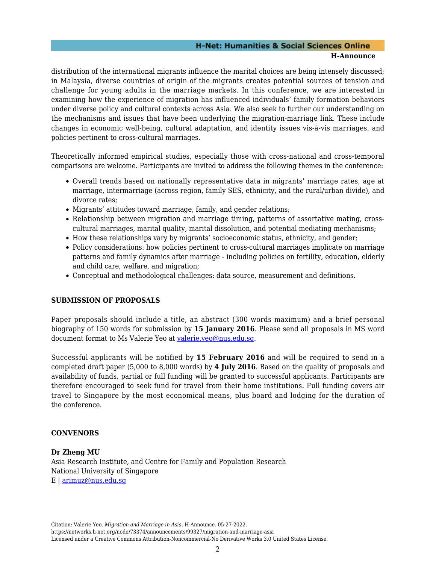# **H-Net: Humanities & Social Sciences Online**

#### **H-Announce**

distribution of the international migrants influence the marital choices are being intensely discussed; in Malaysia, diverse countries of origin of the migrants creates potential sources of tension and challenge for young adults in the marriage markets. In this conference, we are interested in examining how the experience of migration has influenced individuals' family formation behaviors under diverse policy and cultural contexts across Asia. We also seek to further our understanding on the mechanisms and issues that have been underlying the migration-marriage link. These include changes in economic well-being, cultural adaptation, and identity issues vis-à-vis marriages, and policies pertinent to cross-cultural marriages.

Theoretically informed empirical studies, especially those with cross-national and cross-temporal comparisons are welcome. Participants are invited to address the following themes in the conference:

- Overall trends based on nationally representative data in migrants' marriage rates, age at marriage, intermarriage (across region, family SES, ethnicity, and the rural/urban divide), and divorce rates;
- Migrants' attitudes toward marriage, family, and gender relations;
- Relationship between migration and marriage timing, patterns of assortative mating, crosscultural marriages, marital quality, marital dissolution, and potential mediating mechanisms;
- How these relationships vary by migrants' socioeconomic status, ethnicity, and gender;
- Policy considerations: how policies pertinent to cross-cultural marriages implicate on marriage patterns and family dynamics after marriage - including policies on fertility, education, elderly and child care, welfare, and migration;
- Conceptual and methodological challenges: data source, measurement and definitions.

# **SUBMISSION OF PROPOSALS**

Paper proposals should include a title, an abstract (300 words maximum) and a brief personal biography of 150 words for submission by **15 January 2016**. Please send all proposals in MS word document format to Ms Valerie Yeo at [valerie.yeo@nus.edu.sg.](mailto:valerie.yeo@nus.edu.sg)

Successful applicants will be notified by **15 February 2016** and will be required to send in a completed draft paper (5,000 to 8,000 words) by **4 July 2016**. Based on the quality of proposals and availability of funds, partial or full funding will be granted to successful applicants. Participants are therefore encouraged to seek fund for travel from their home institutions. Full funding covers air travel to Singapore by the most economical means, plus board and lodging for the duration of the conference.

# **CONVENORS**

**Dr Zheng MU** Asia Research Institute, and Centre for Family and Population Research National University of Singapore E | [arimuz@nus.edu.sg](mailto:arimuz@nus.edu.sg)